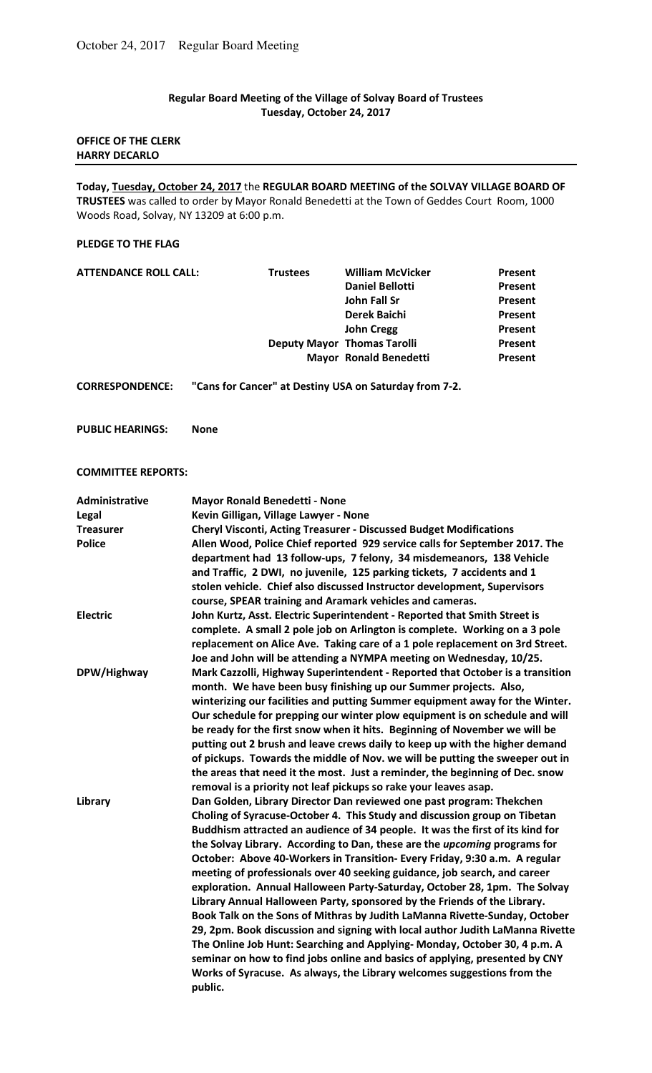# **Regular Board Meeting of the Village of Solvay Board of Trustees Tuesday, October 24, 2017**

## **OFFICE OF THE CLERK HARRY DECARLO**

**Today, Tuesday, October 24, 2017** the **REGULAR BOARD MEETING of the SOLVAY VILLAGE BOARD OF TRUSTEES** was called to order by Mayor Ronald Benedetti at the Town of Geddes Court Room, 1000 Woods Road, Solvay, NY 13209 at 6:00 p.m.

### **PLEDGE TO THE FLAG**

| <b>ATTENDANCE ROLL CALL:</b> | <b>Trustees</b> | <b>William McVicker</b>            | Present        |
|------------------------------|-----------------|------------------------------------|----------------|
|                              |                 | <b>Daniel Bellotti</b>             | Present        |
|                              |                 | John Fall Sr                       | Present        |
|                              |                 | <b>Derek Baichi</b>                | Present        |
|                              |                 | <b>John Cregg</b>                  | Present        |
|                              |                 | <b>Deputy Mayor Thomas Tarolli</b> | <b>Present</b> |
|                              |                 | <b>Mayor Ronald Benedetti</b>      | Present        |
|                              |                 |                                    |                |

**CORRESPONDENCE: "Cans for Cancer" at Destiny USA on Saturday from 7-2.** 

**PUBLIC HEARINGS: None** 

### **COMMITTEE REPORTS:**

| Administrative   | <b>Mayor Ronald Benedetti - None</b>                                             |
|------------------|----------------------------------------------------------------------------------|
| Legal            | Kevin Gilligan, Village Lawyer - None                                            |
| <b>Treasurer</b> | <b>Cheryl Visconti, Acting Treasurer - Discussed Budget Modifications</b>        |
| <b>Police</b>    | Allen Wood, Police Chief reported 929 service calls for September 2017. The      |
|                  | department had 13 follow-ups, 7 felony, 34 misdemeanors, 138 Vehicle             |
|                  | and Traffic, 2 DWI, no juvenile, 125 parking tickets, 7 accidents and 1          |
|                  | stolen vehicle. Chief also discussed Instructor development, Supervisors         |
|                  | course, SPEAR training and Aramark vehicles and cameras.                         |
| <b>Electric</b>  | John Kurtz, Asst. Electric Superintendent - Reported that Smith Street is        |
|                  | complete. A small 2 pole job on Arlington is complete. Working on a 3 pole       |
|                  | replacement on Alice Ave. Taking care of a 1 pole replacement on 3rd Street.     |
|                  | Joe and John will be attending a NYMPA meeting on Wednesday, 10/25.              |
| DPW/Highway      | Mark Cazzolli, Highway Superintendent - Reported that October is a transition    |
|                  | month. We have been busy finishing up our Summer projects. Also,                 |
|                  | winterizing our facilities and putting Summer equipment away for the Winter.     |
|                  | Our schedule for prepping our winter plow equipment is on schedule and will      |
|                  | be ready for the first snow when it hits. Beginning of November we will be       |
|                  | putting out 2 brush and leave crews daily to keep up with the higher demand      |
|                  | of pickups. Towards the middle of Nov. we will be putting the sweeper out in     |
|                  | the areas that need it the most. Just a reminder, the beginning of Dec. snow     |
|                  | removal is a priority not leaf pickups so rake your leaves asap.                 |
| Library          | Dan Golden, Library Director Dan reviewed one past program: Thekchen             |
|                  | Choling of Syracuse-October 4. This Study and discussion group on Tibetan        |
|                  | Buddhism attracted an audience of 34 people. It was the first of its kind for    |
|                  | the Solvay Library. According to Dan, these are the <i>upcoming</i> programs for |
|                  | October: Above 40-Workers in Transition- Every Friday, 9:30 a.m. A regular       |
|                  | meeting of professionals over 40 seeking guidance, job search, and career        |
|                  | exploration. Annual Halloween Party-Saturday, October 28, 1pm. The Solvay        |
|                  | Library Annual Halloween Party, sponsored by the Friends of the Library.         |
|                  | Book Talk on the Sons of Mithras by Judith LaManna Rivette-Sunday, October       |
|                  | 29, 2pm. Book discussion and signing with local author Judith LaManna Rivette    |
|                  | The Online Job Hunt: Searching and Applying-Monday, October 30, 4 p.m. A         |
|                  | seminar on how to find jobs online and basics of applying, presented by CNY      |
|                  | Works of Syracuse. As always, the Library welcomes suggestions from the          |
|                  | public.                                                                          |
|                  |                                                                                  |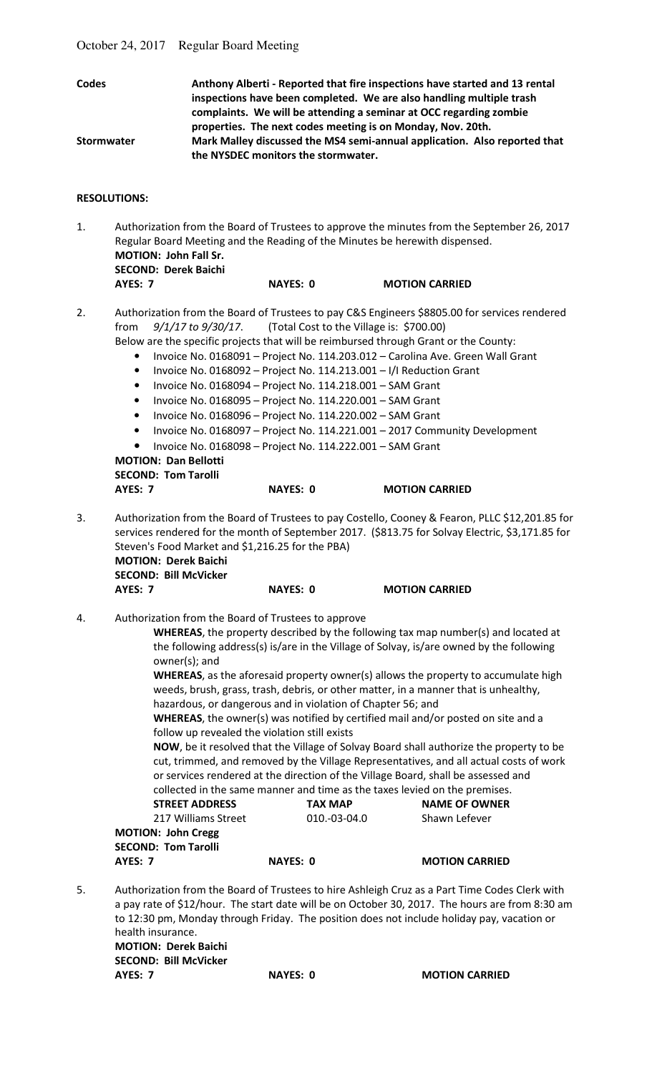| Codes             | Anthony Alberti - Reported that fire inspections have started and 13 rental<br>inspections have been completed. We are also handling multiple trash |
|-------------------|-----------------------------------------------------------------------------------------------------------------------------------------------------|
|                   | complaints. We will be attending a seminar at OCC regarding zombie                                                                                  |
|                   | properties. The next codes meeting is on Monday, Nov. 20th.                                                                                         |
| <b>Stormwater</b> | Mark Malley discussed the MS4 semi-annual application. Also reported that<br>the NYSDEC monitors the stormwater.                                    |

## **RESOLUTIONS:**

1. Authorization from the Board of Trustees to approve the minutes from the September 26, 2017 Regular Board Meeting and the Reading of the Minutes be herewith dispensed.  **MOTION: John Fall Sr. SECOND: Derek Baichi AYES: 7 NAYES: 0 MOTION CARRIED** 

2. Authorization from the Board of Trustees to pay C&S Engineers \$8805.00 for services rendered from *9/1/17 to 9/30/17*. (Total Cost to the Village is: \$700.00)

- Below are the specific projects that will be reimbursed through Grant or the County:
	- Invoice No. 0168091 Project No. 114.203.012 Carolina Ave. Green Wall Grant
	- Invoice No. 0168092 Project No. 114.213.001 I/I Reduction Grant
	- Invoice No. 0168094 Project No. 114.218.001 SAM Grant
	- Invoice No. 0168095 Project No. 114.220.001 SAM Grant
	- Invoice No. 0168096 Project No. 114.220.002 SAM Grant
	- Invoice No. 0168097 Project No. 114.221.001 2017 Community Development
	- Invoice No. 0168098 Project No. 114.222.001 SAM Grant

**MOTION: Dan Bellotti SECOND: Tom Tarolli** 

## **AYES: 7 NAYES: 0 MOTION CARRIED**

3. Authorization from the Board of Trustees to pay Costello, Cooney & Fearon, PLLC \$12,201.85 for services rendered for the month of September 2017. (\$813.75 for Solvay Electric, \$3,171.85 for Steven's Food Market and \$1,216.25 for the PBA)  **MOTION: Derek Baichi** 

 **SECOND: Bill McVicker** 

# **AYES: 7 NAYES: 0 MOTION CARRIED**

4. Authorization from the Board of Trustees to approve

 **WHEREAS**, the property described by the following tax map number(s) and located at the following address(s) is/are in the Village of Solvay, is/are owned by the following owner(s); and

 **WHEREAS**, as the aforesaid property owner(s) allows the property to accumulate high weeds, brush, grass, trash, debris, or other matter, in a manner that is unhealthy, hazardous, or dangerous and in violation of Chapter 56; and

 **WHEREAS**, the owner(s) was notified by certified mail and/or posted on site and a follow up revealed the violation still exists

 **NOW**, be it resolved that the Village of Solvay Board shall authorize the property to be cut, trimmed, and removed by the Village Representatives, and all actual costs of work or services rendered at the direction of the Village Board, shall be assessed and collected in the same manner and time as the taxes levied on the premises.

STREET ADDRESS **TAX MAP** NAME OF OWNER 217 Williams Street 010.-03-04.0 Shawn Lefever

**MOTION: John Cregg SECOND: Tom Tarolli AYES: 7** NAYES: 0 MOTION CARRIED

| 5. | Authorization from the Board of Trustees to hire Ashleigh Cruz as a Part Time Codes Clerk with  |
|----|-------------------------------------------------------------------------------------------------|
|    | a pay rate of \$12/hour. The start date will be on October 30, 2017. The hours are from 8:30 am |
|    | to 12:30 pm, Monday through Friday. The position does not include holiday pay, vacation or      |
|    | health insurance.                                                                               |

**MOTION: Derek Baichi SECOND: Bill McVicker AYES: 7 NAYES: 0 MOTION CARRIED**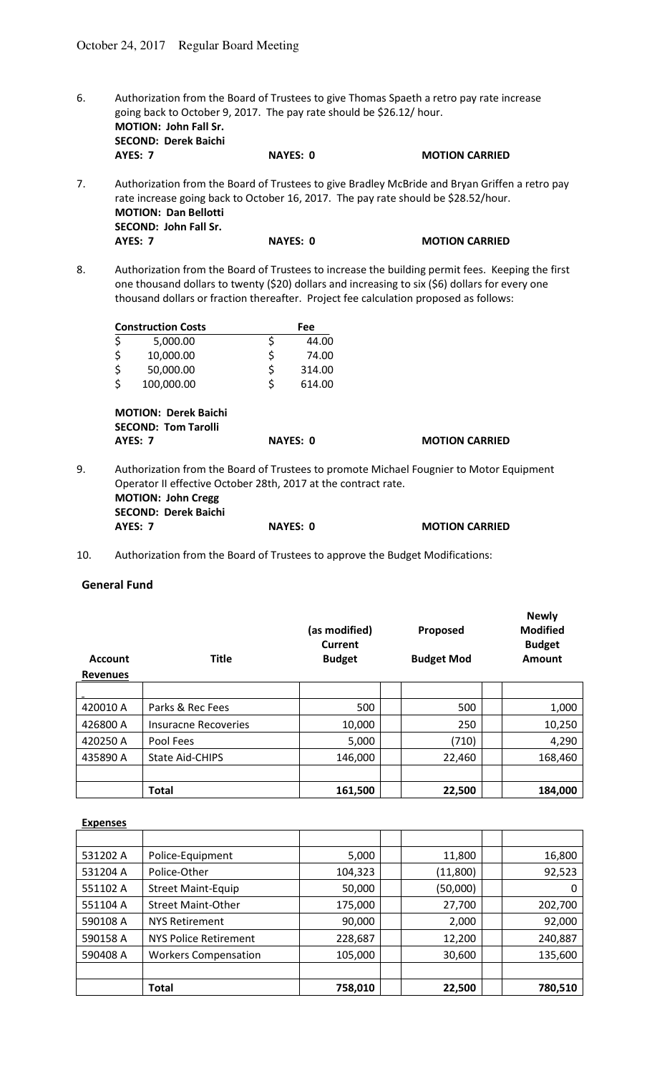6. Authorization from the Board of Trustees to give Thomas Spaeth a retro pay rate increase going back to October 9, 2017. The pay rate should be \$26.12/ hour. **MOTION: John Fall Sr. SECOND: Derek Baichi AYES: 0 MOTION CARRIED** 

7. Authorization from the Board of Trustees to give Bradley McBride and Bryan Griffen a retro pay rate increase going back to October 16, 2017. The pay rate should be \$28.52/hour.  **MOTION: Dan Bellotti SECOND: John Fall Sr. AYES: 7** NAYES: 0 MOTION CARRIED

8. Authorization from the Board of Trustees to increase the building permit fees. Keeping the first one thousand dollars to twenty (\$20) dollars and increasing to six (\$6) dollars for every one thousand dollars or fraction thereafter. Project fee calculation proposed as follows:

| <b>Construction Costs</b>                                      | <b>Fee</b>      |                                                                                         |
|----------------------------------------------------------------|-----------------|-----------------------------------------------------------------------------------------|
| \$<br>5,000.00                                                 | \$<br>44.00     |                                                                                         |
| \$<br>10,000.00                                                | \$<br>74.00     |                                                                                         |
| \$<br>50,000.00                                                | \$<br>314.00    |                                                                                         |
| \$<br>100,000.00                                               | \$<br>614.00    |                                                                                         |
| <b>SECOND: Tom Tarolli</b><br><b>AYES: 7</b>                   | <b>NAYES: 0</b> | <b>MOTION CARRIED</b>                                                                   |
| Operator II effective October 28th, 2017 at the contract rate. |                 | Authorization from the Board of Trustees to promote Michael Fougnier to Motor Equipment |

- Operator II effective October 28th, 2017 at the contract rate. **MOTION: John Cregg SECOND: Derek Baichi AYES: 7** NAYES: 0 MOTION CARRIED
- 10. Authorization from the Board of Trustees to approve the Budget Modifications:

# **General Fund**

| <b>Account</b><br><b>Revenues</b> | <b>Title</b>           | (as modified)<br>Current<br><b>Budget</b> | Proposed<br><b>Budget Mod</b> | <b>Newly</b><br><b>Modified</b><br><b>Budget</b><br>Amount |
|-----------------------------------|------------------------|-------------------------------------------|-------------------------------|------------------------------------------------------------|
|                                   |                        |                                           |                               |                                                            |
| 420010 A                          | Parks & Rec Fees       | 500                                       | 500                           | 1,000                                                      |
| 426800 A                          | Insuracne Recoveries   | 10,000                                    | 250                           | 10,250                                                     |
| 420250 A                          | Pool Fees              | 5,000                                     | (710)                         | 4,290                                                      |
| 435890 A                          | <b>State Aid-CHIPS</b> | 146,000                                   | 22,460                        | 168,460                                                    |
|                                   |                        |                                           |                               |                                                            |
|                                   | <b>Total</b>           | 161,500                                   | 22,500                        | 184,000                                                    |

**Expenses**

|          | <b>Total</b>                 | 758,010 | 22,500   | 780,510 |
|----------|------------------------------|---------|----------|---------|
|          |                              |         |          |         |
| 590408 A | <b>Workers Compensation</b>  | 105,000 | 30,600   | 135,600 |
| 590158 A | <b>NYS Police Retirement</b> | 228,687 | 12,200   | 240,887 |
| 590108 A | NYS Retirement               | 90,000  | 2,000    | 92,000  |
| 551104 A | <b>Street Maint-Other</b>    | 175,000 | 27,700   | 202,700 |
| 551102 A | <b>Street Maint-Equip</b>    | 50,000  | (50,000) | 0       |
| 531204 A | Police-Other                 | 104,323 | (11,800) | 92,523  |
| 531202 A | Police-Equipment             | 5,000   | 11,800   | 16,800  |
|          |                              |         |          |         |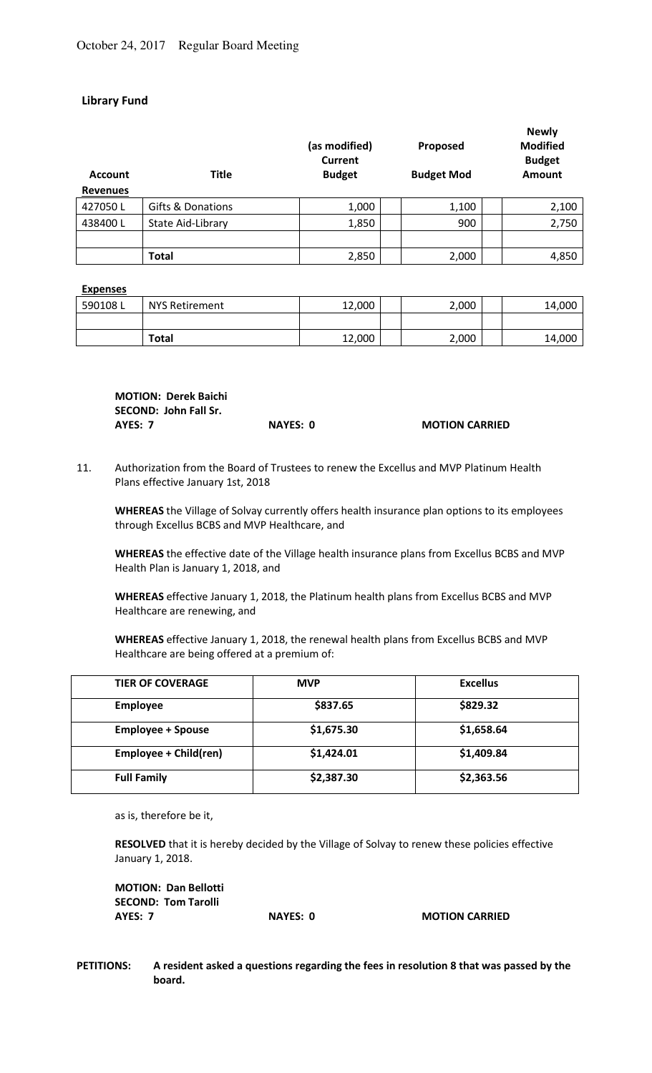# **Library Fund**

| <b>Account</b><br><b>Revenues</b> | <b>Title</b>      | (as modified)<br>Current<br><b>Budget</b> | Proposed<br><b>Budget Mod</b> | <b>Newly</b><br><b>Modified</b><br><b>Budget</b><br>Amount |
|-----------------------------------|-------------------|-------------------------------------------|-------------------------------|------------------------------------------------------------|
| 427050L                           | Gifts & Donations | 1,000                                     | 1,100                         | 2,100                                                      |
| 438400L                           | State Aid-Library | 1,850                                     | 900                           | 2,750                                                      |
|                                   |                   |                                           |                               |                                                            |
|                                   | <b>Total</b>      | 2,850                                     | 2,000                         | 4,850                                                      |

#### **Expenses**

| 590108L | <b>NYS Retirement</b> | 12,000 | 2,000 | 14,000 |
|---------|-----------------------|--------|-------|--------|
|         |                       |        |       |        |
|         | <b>Total</b>          | 12,000 | 2,000 | 14,000 |

| <b>MOTION: Derek Baichi</b> |          |                       |
|-----------------------------|----------|-----------------------|
| SECOND: John Fall Sr.       |          |                       |
| AYES: 7                     | NAYES: 0 | <b>MOTION CARRIED</b> |

11. Authorization from the Board of Trustees to renew the Excellus and MVP Platinum Health Plans effective January 1st, 2018

**WHEREAS** the Village of Solvay currently offers health insurance plan options to its employees through Excellus BCBS and MVP Healthcare, and

**WHEREAS** the effective date of the Village health insurance plans from Excellus BCBS and MVP Health Plan is January 1, 2018, and

 **WHEREAS** effective January 1, 2018, the Platinum health plans from Excellus BCBS and MVP Healthcare are renewing, and

**WHEREAS** effective January 1, 2018, the renewal health plans from Excellus BCBS and MVP Healthcare are being offered at a premium of:

| <b>TIER OF COVERAGE</b>  | <b>MVP</b> | <b>Excellus</b> |
|--------------------------|------------|-----------------|
| <b>Employee</b>          | \$837.65   | \$829.32        |
| <b>Employee + Spouse</b> | \$1,675.30 | \$1,658.64      |
| Employee + Child(ren)    | \$1,424.01 | \$1,409.84      |
| <b>Full Family</b>       | \$2,387.30 | \$2,363.56      |

as is, therefore be it,

**RESOLVED** that it is hereby decided by the Village of Solvay to renew these policies effective January 1, 2018.

| <b>MOTION: Dan Bellotti</b> |    |
|-----------------------------|----|
| <b>SECOND: Tom Tarolli</b>  |    |
| AYES: 7                     | N, |

**AYES: 0 MOTION CARRIED** 

**PETITIONS: A resident asked a questions regarding the fees in resolution 8 that was passed by the board.**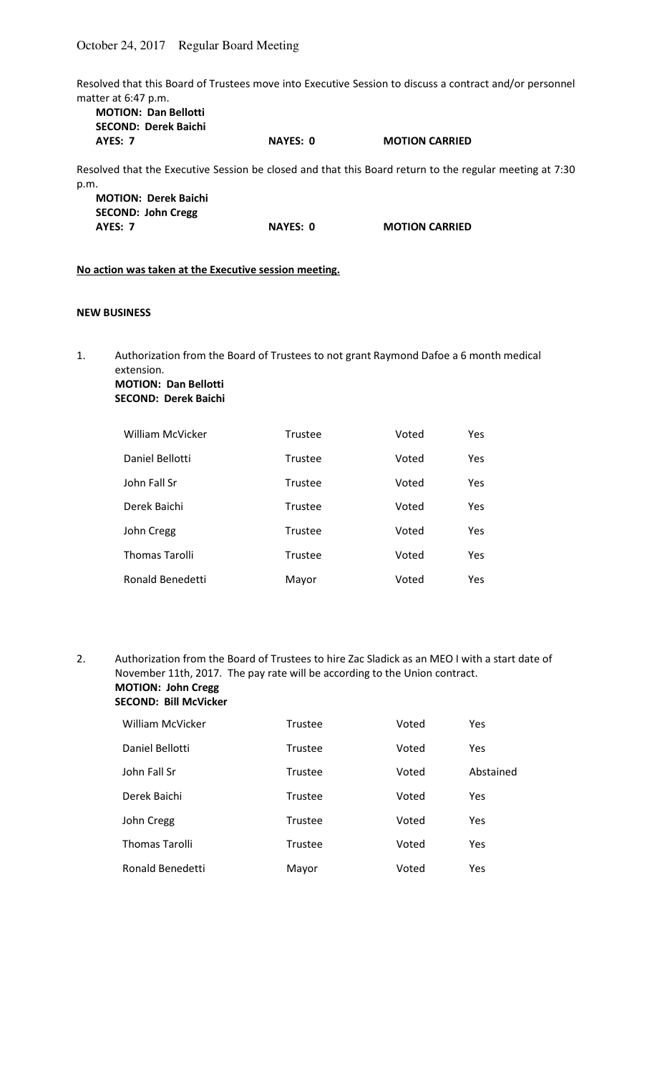Resolved that this Board of Trustees move into Executive Session to discuss a contract and/or personnel matter at 6:47 p.m.<br>
MOTION: Dan Pollotti

| <b>MOTION: Dan Bellotti</b><br><b>SECOND: Derek Baichi</b> |                 |                                                                                                         |
|------------------------------------------------------------|-----------------|---------------------------------------------------------------------------------------------------------|
| AYES: 7                                                    | <b>NAYES: 0</b> | <b>MOTION CARRIED</b>                                                                                   |
|                                                            |                 | Resolved that the Executive Session be closed and that this Board return to the regular meeting at 7:30 |
| p.m.                                                       |                 |                                                                                                         |
| <b>MOTION: Derek Baichi</b>                                |                 |                                                                                                         |
| <b>SECOND: John Cregg</b>                                  |                 |                                                                                                         |
| AYES: 7                                                    | <b>NAYES: 0</b> | <b>MOTION CARRIED</b>                                                                                   |
| No action was taken at the Executive session meeting.      |                 |                                                                                                         |

# **NEW BUSINESS**

1. Authorization from the Board of Trustees to not grant Raymond Dafoe a 6 month medical extension. **MOTION: Dan Bellotti** 

# **SECOND: Derek Baichi**

| <b>William McVicker</b> | Trustee        | Voted | Yes |
|-------------------------|----------------|-------|-----|
| Daniel Bellotti         | <b>Trustee</b> | Voted | Yes |
| John Fall Sr            | Trustee        | Voted | Yes |
| Derek Baichi            | Trustee        | Voted | Yes |
| John Cregg              | Trustee        | Voted | Yes |
| <b>Thomas Tarolli</b>   | Trustee        | Voted | Yes |
| Ronald Benedetti        | Mayor          | Voted | Yes |

2. Authorization from the Board of Trustees to hire Zac Sladick as an MEO I with a start date of November 11th, 2017. The pay rate will be according to the Union contract. **MOTION: John Cregg SECOND: Bill McVicker** 

| <b>William McVicker</b> | Trustee | Voted | Yes       |
|-------------------------|---------|-------|-----------|
| Daniel Bellotti         | Trustee | Voted | Yes       |
| John Fall Sr            | Trustee | Voted | Abstained |
| Derek Baichi            | Trustee | Voted | Yes       |
| John Cregg              | Trustee | Voted | Yes       |
| <b>Thomas Tarolli</b>   | Trustee | Voted | Yes       |
| Ronald Benedetti        | Mayor   | Voted | Yes       |